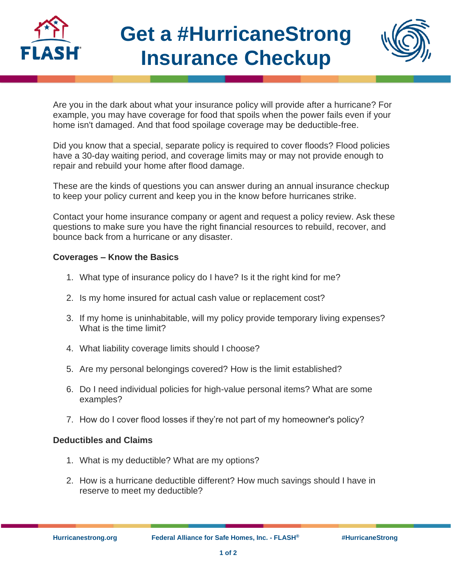

## **Get a #HurricaneStrong Insurance Checkup**



Are you in the dark about what your insurance policy will provide after a hurricane? For example, you may have coverage for food that spoils when the power fails even if your home isn't damaged. And that food spoilage coverage may be deductible-free.

Did you know that a special, separate policy is required to cover floods? Flood policies have a 30-day waiting period, and coverage limits may or may not provide enough to repair and rebuild your home after flood damage.

These are the kinds of questions you can answer during an annual insurance checkup to keep your policy current and keep you in the know before hurricanes strike.

Contact your home insurance company or agent and request a policy review. Ask these questions to make sure you have the right financial resources to rebuild, recover, and bounce back from a hurricane or any disaster.

## **Coverages – Know the Basics**

- 1. What type of insurance policy do I have? Is it the right kind for me?
- 2. Is my home insured for actual cash value or replacement cost?
- 3. If my home is uninhabitable, will my policy provide temporary living expenses? What is the time limit?
- 4. What liability coverage limits should I choose?
- 5. Are my personal belongings covered? How is the limit established?
- 6. Do I need individual policies for high-value personal items? What are some examples?
- 7. How do I cover flood losses if they're not part of my homeowner's policy?

## **Deductibles and Claims**

- 1. What is my deductible? What are my options?
- 2. How is a hurricane deductible different? How much savings should I have in reserve to meet my deductible?